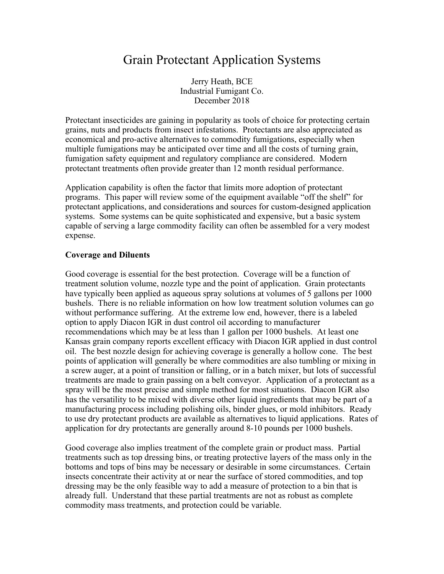# Grain Protectant Application Systems

Jerry Heath, BCE Industrial Fumigant Co. December 2018

Protectant insecticides are gaining in popularity as tools of choice for protecting certain grains, nuts and products from insect infestations. Protectants are also appreciated as economical and pro-active alternatives to commodity fumigations, especially when multiple fumigations may be anticipated over time and all the costs of turning grain, fumigation safety equipment and regulatory compliance are considered. Modern protectant treatments often provide greater than 12 month residual performance.

Application capability is often the factor that limits more adoption of protectant programs. This paper will review some of the equipment available "off the shelf" for protectant applications, and considerations and sources for custom-designed application systems. Some systems can be quite sophisticated and expensive, but a basic system capable of serving a large commodity facility can often be assembled for a very modest expense.

### **Coverage and Diluents**

Good coverage is essential for the best protection. Coverage will be a function of treatment solution volume, nozzle type and the point of application. Grain protectants have typically been applied as aqueous spray solutions at volumes of 5 gallons per 1000 bushels. There is no reliable information on how low treatment solution volumes can go without performance suffering. At the extreme low end, however, there is a labeled option to apply Diacon IGR in dust control oil according to manufacturer recommendations which may be at less than 1 gallon per 1000 bushels. At least one Kansas grain company reports excellent efficacy with Diacon IGR applied in dust control oil. The best nozzle design for achieving coverage is generally a hollow cone. The best points of application will generally be where commodities are also tumbling or mixing in a screw auger, at a point of transition or falling, or in a batch mixer, but lots of successful treatments are made to grain passing on a belt conveyor. Application of a protectant as a spray will be the most precise and simple method for most situations. Diacon IGR also has the versatility to be mixed with diverse other liquid ingredients that may be part of a manufacturing process including polishing oils, binder glues, or mold inhibitors. Ready to use dry protectant products are available as alternatives to liquid applications. Rates of application for dry protectants are generally around 8-10 pounds per 1000 bushels.

Good coverage also implies treatment of the complete grain or product mass. Partial treatments such as top dressing bins, or treating protective layers of the mass only in the bottoms and tops of bins may be necessary or desirable in some circumstances. Certain insects concentrate their activity at or near the surface of stored commodities, and top dressing may be the only feasible way to add a measure of protection to a bin that is already full. Understand that these partial treatments are not as robust as complete commodity mass treatments, and protection could be variable.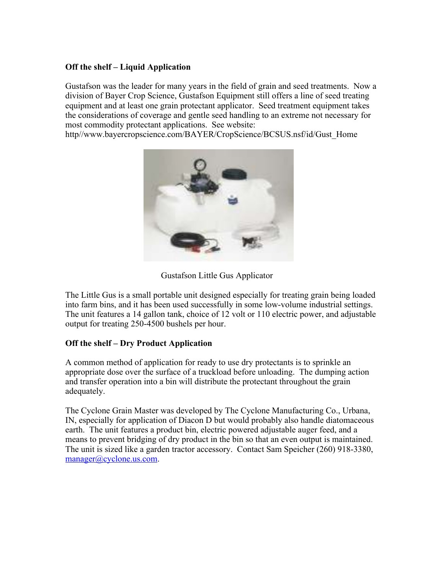# **Off the shelf – Liquid Application**

Gustafson was the leader for many years in the field of grain and seed treatments. Now a division of Bayer Crop Science, Gustafson Equipment still offers a line of seed treating equipment and at least one grain protectant applicator. Seed treatment equipment takes the considerations of coverage and gentle seed handling to an extreme not necessary for most commodity protectant applications. See website:

http//www.bayercropscience.com/BAYER/CropScience/BCSUS.nsf/id/Gust\_Home



Gustafson Little Gus Applicator

The Little Gus is a small portable unit designed especially for treating grain being loaded into farm bins, and it has been used successfully in some low-volume industrial settings. The unit features a 14 gallon tank, choice of 12 volt or 110 electric power, and adjustable output for treating 250-4500 bushels per hour.

# **Off the shelf – Dry Product Application**

A common method of application for ready to use dry protectants is to sprinkle an appropriate dose over the surface of a truckload before unloading. The dumping action and transfer operation into a bin will distribute the protectant throughout the grain adequately.

The Cyclone Grain Master was developed by The Cyclone Manufacturing Co., Urbana, IN, especially for application of Diacon D but would probably also handle diatomaceous earth. The unit features a product bin, electric powered adjustable auger feed, and a means to prevent bridging of dry product in the bin so that an even output is maintained. The unit is sized like a garden tractor accessory. Contact Sam Speicher (260) 918-3380, manager@cyclone.us.com.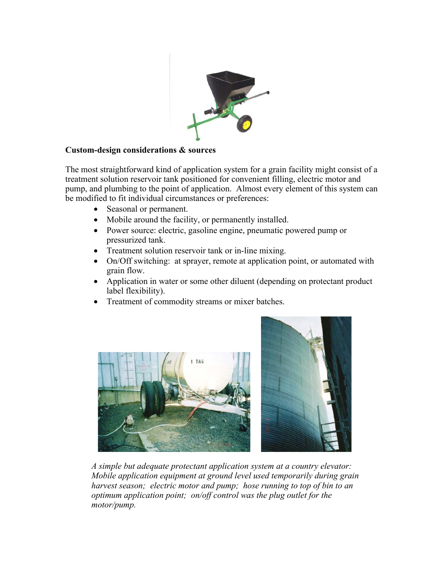

## **Custom-design considerations & sources**

The most straightforward kind of application system for a grain facility might consist of a treatment solution reservoir tank positioned for convenient filling, electric motor and pump, and plumbing to the point of application. Almost every element of this system can be modified to fit individual circumstances or preferences:

- Seasonal or permanent.
- Mobile around the facility, or permanently installed.
- Power source: electric, gasoline engine, pneumatic powered pump or pressurized tank.
- Treatment solution reservoir tank or in-line mixing.
- On/Off switching: at sprayer, remote at application point, or automated with grain flow.
- Application in water or some other diluent (depending on protectant product label flexibility).
- Treatment of commodity streams or mixer batches.



*A simple but adequate protectant application system at a country elevator: Mobile application equipment at ground level used temporarily during grain harvest season; electric motor and pump; hose running to top of bin to an optimum application point; on/off control was the plug outlet for the motor/pump.*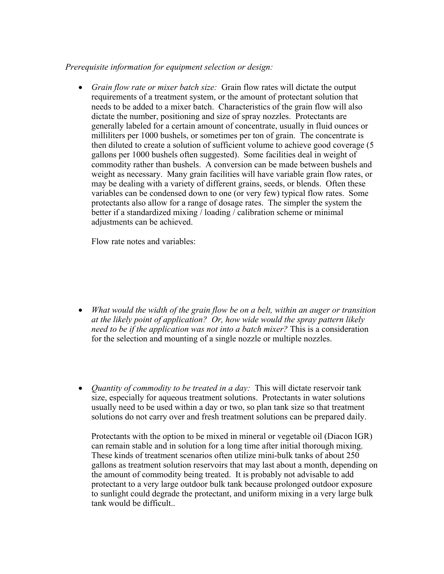### *Prerequisite information for equipment selection or design:*

• *Grain flow rate or mixer batch size:* Grain flow rates will dictate the output requirements of a treatment system, or the amount of protectant solution that needs to be added to a mixer batch. Characteristics of the grain flow will also dictate the number, positioning and size of spray nozzles. Protectants are generally labeled for a certain amount of concentrate, usually in fluid ounces or milliliters per 1000 bushels, or sometimes per ton of grain. The concentrate is then diluted to create a solution of sufficient volume to achieve good coverage (5 gallons per 1000 bushels often suggested). Some facilities deal in weight of commodity rather than bushels. A conversion can be made between bushels and weight as necessary. Many grain facilities will have variable grain flow rates, or may be dealing with a variety of different grains, seeds, or blends. Often these variables can be condensed down to one (or very few) typical flow rates. Some protectants also allow for a range of dosage rates. The simpler the system the better if a standardized mixing / loading / calibration scheme or minimal adjustments can be achieved.

Flow rate notes and variables:

- *What would the width of the grain flow be on a belt, within an auger or transition at the likely point of application? Or, how wide would the spray pattern likely need to be if the application was not into a batch mixer?* This is a consideration for the selection and mounting of a single nozzle or multiple nozzles.
- *Quantity of commodity to be treated in a day:* This will dictate reservoir tank size, especially for aqueous treatment solutions. Protectants in water solutions usually need to be used within a day or two, so plan tank size so that treatment solutions do not carry over and fresh treatment solutions can be prepared daily.

Protectants with the option to be mixed in mineral or vegetable oil (Diacon IGR) can remain stable and in solution for a long time after initial thorough mixing. These kinds of treatment scenarios often utilize mini-bulk tanks of about 250 gallons as treatment solution reservoirs that may last about a month, depending on the amount of commodity being treated. It is probably not advisable to add protectant to a very large outdoor bulk tank because prolonged outdoor exposure to sunlight could degrade the protectant, and uniform mixing in a very large bulk tank would be difficult..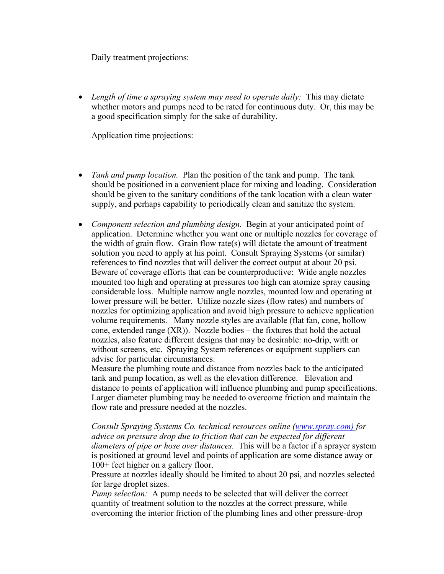Daily treatment projections:

• *Length of time a spraying system may need to operate daily:* This may dictate whether motors and pumps need to be rated for continuous duty. Or, this may be a good specification simply for the sake of durability.

Application time projections:

- *Tank and pump location.* Plan the position of the tank and pump. The tank should be positioned in a convenient place for mixing and loading. Consideration should be given to the sanitary conditions of the tank location with a clean water supply, and perhaps capability to periodically clean and sanitize the system.
- *Component selection and plumbing design.* Begin at your anticipated point of application. Determine whether you want one or multiple nozzles for coverage of the width of grain flow. Grain flow rate(s) will dictate the amount of treatment solution you need to apply at his point. Consult Spraying Systems (or similar) references to find nozzles that will deliver the correct output at about 20 psi. Beware of coverage efforts that can be counterproductive: Wide angle nozzles mounted too high and operating at pressures too high can atomize spray causing considerable loss. Multiple narrow angle nozzles, mounted low and operating at lower pressure will be better. Utilize nozzle sizes (flow rates) and numbers of nozzles for optimizing application and avoid high pressure to achieve application volume requirements. Many nozzle styles are available (flat fan, cone, hollow cone, extended range  $(XR)$ ). Nozzle bodies – the fixtures that hold the actual nozzles, also feature different designs that may be desirable: no-drip, with or without screens, etc. Spraying System references or equipment suppliers can advise for particular circumstances.

Measure the plumbing route and distance from nozzles back to the anticipated tank and pump location, as well as the elevation difference. Elevation and distance to points of application will influence plumbing and pump specifications. Larger diameter plumbing may be needed to overcome friction and maintain the flow rate and pressure needed at the nozzles.

*Consult Spraying Systems Co. technical resources online (www.spray.com) for advice on pressure drop due to friction that can be expected for different diameters of pipe or hose over distances.* This will be a factor if a sprayer system is positioned at ground level and points of application are some distance away or 100+ feet higher on a gallery floor.

Pressure at nozzles ideally should be limited to about 20 psi, and nozzles selected for large droplet sizes.

*Pump selection:* A pump needs to be selected that will deliver the correct quantity of treatment solution to the nozzles at the correct pressure, while overcoming the interior friction of the plumbing lines and other pressure-drop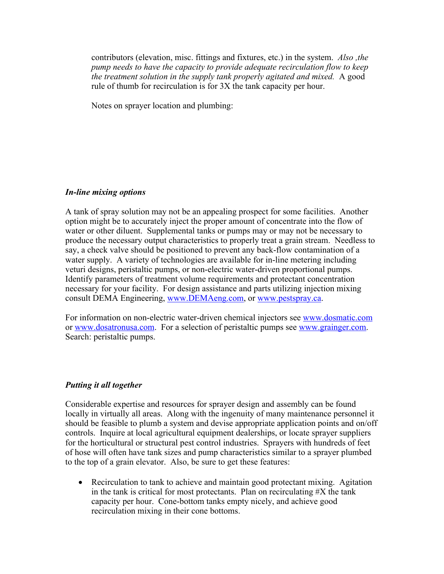contributors (elevation, misc. fittings and fixtures, etc.) in the system. *Also ,the pump needs to have the capacity to provide adequate recirculation flow to keep the treatment solution in the supply tank properly agitated and mixed.* A good rule of thumb for recirculation is for 3X the tank capacity per hour.

Notes on sprayer location and plumbing:

### *In-line mixing options*

A tank of spray solution may not be an appealing prospect for some facilities. Another option might be to accurately inject the proper amount of concentrate into the flow of water or other diluent. Supplemental tanks or pumps may or may not be necessary to produce the necessary output characteristics to properly treat a grain stream. Needless to say, a check valve should be positioned to prevent any back-flow contamination of a water supply. A variety of technologies are available for in-line metering including veturi designs, peristaltic pumps, or non-electric water-driven proportional pumps. Identify parameters of treatment volume requirements and protectant concentration necessary for your facility. For design assistance and parts utilizing injection mixing consult DEMA Engineering, www.DEMAeng.com, or www.pestspray.ca.

For information on non-electric water-driven chemical injectors see www.dosmatic.com or www.dosatronusa.com. For a selection of peristaltic pumps see www.grainger.com. Search: peristaltic pumps.

## *Putting it all together*

Considerable expertise and resources for sprayer design and assembly can be found locally in virtually all areas. Along with the ingenuity of many maintenance personnel it should be feasible to plumb a system and devise appropriate application points and on/off controls. Inquire at local agricultural equipment dealerships, or locate sprayer suppliers for the horticultural or structural pest control industries. Sprayers with hundreds of feet of hose will often have tank sizes and pump characteristics similar to a sprayer plumbed to the top of a grain elevator. Also, be sure to get these features:

• Recirculation to tank to achieve and maintain good protectant mixing. Agitation in the tank is critical for most protectants. Plan on recirculating  $\#X$  the tank capacity per hour. Cone-bottom tanks empty nicely, and achieve good recirculation mixing in their cone bottoms.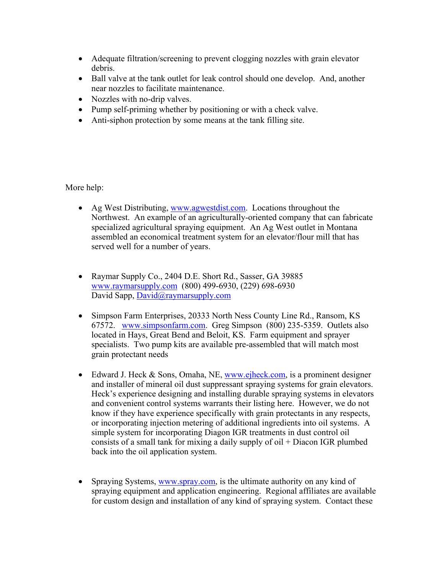- Adequate filtration/screening to prevent clogging nozzles with grain elevator debris.
- Ball valve at the tank outlet for leak control should one develop. And, another near nozzles to facilitate maintenance.
- Nozzles with no-drip valves.
- Pump self-priming whether by positioning or with a check valve.
- Anti-siphon protection by some means at the tank filling site.

More help:

- Ag West Distributing, www.agwestdist.com. Locations throughout the Northwest. An example of an agriculturally-oriented company that can fabricate specialized agricultural spraying equipment. An Ag West outlet in Montana assembled an economical treatment system for an elevator/flour mill that has served well for a number of years.
- Raymar Supply Co., 2404 D.E. Short Rd., Sasser, GA 39885 www.raymarsupply.com (800) 499-6930, (229) 698-6930 David Sapp, David@raymarsupply.com
- Simpson Farm Enterprises, 20333 North Ness County Line Rd., Ransom, KS 67572. www.simpsonfarm.com. Greg Simpson (800) 235-5359. Outlets also located in Hays, Great Bend and Beloit, KS. Farm equipment and sprayer specialists. Two pump kits are available pre-assembled that will match most grain protectant needs
- Edward J. Heck & Sons, Omaha, NE, www.ejheck.com, is a prominent designer and installer of mineral oil dust suppressant spraying systems for grain elevators. Heck's experience designing and installing durable spraying systems in elevators and convenient control systems warrants their listing here. However, we do not know if they have experience specifically with grain protectants in any respects, or incorporating injection metering of additional ingredients into oil systems. A simple system for incorporating Diagon IGR treatments in dust control oil consists of a small tank for mixing a daily supply of oil + Diacon IGR plumbed back into the oil application system.
- Spraying Systems, www.spray.com, is the ultimate authority on any kind of spraying equipment and application engineering. Regional affiliates are available for custom design and installation of any kind of spraying system. Contact these